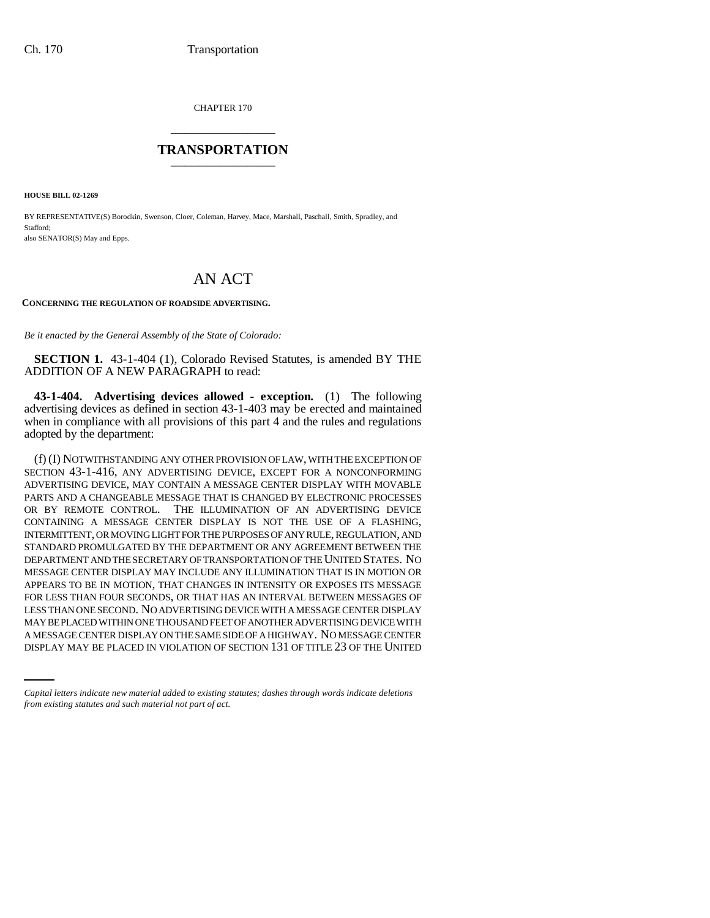CHAPTER 170 \_\_\_\_\_\_\_\_\_\_\_\_\_\_\_

## **TRANSPORTATION** \_\_\_\_\_\_\_\_\_\_\_\_\_\_\_

**HOUSE BILL 02-1269**

BY REPRESENTATIVE(S) Borodkin, Swenson, Cloer, Coleman, Harvey, Mace, Marshall, Paschall, Smith, Spradley, and Stafford; also SENATOR(S) May and Epps.

## AN ACT

**CONCERNING THE REGULATION OF ROADSIDE ADVERTISING.**

*Be it enacted by the General Assembly of the State of Colorado:*

**SECTION 1.** 43-1-404 (1), Colorado Revised Statutes, is amended BY THE ADDITION OF A NEW PARAGRAPH to read:

**43-1-404. Advertising devices allowed - exception.** (1) The following advertising devices as defined in section 43-1-403 may be erected and maintained when in compliance with all provisions of this part 4 and the rules and regulations adopted by the department:

MAY BE PLACED WITHIN ONE THOUSAND FEET OF ANOTHER ADVERTISING DEVICE WITH (f) (I) NOTWITHSTANDING ANY OTHER PROVISION OF LAW, WITH THE EXCEPTION OF SECTION 43-1-416, ANY ADVERTISING DEVICE, EXCEPT FOR A NONCONFORMING ADVERTISING DEVICE, MAY CONTAIN A MESSAGE CENTER DISPLAY WITH MOVABLE PARTS AND A CHANGEABLE MESSAGE THAT IS CHANGED BY ELECTRONIC PROCESSES OR BY REMOTE CONTROL. THE ILLUMINATION OF AN ADVERTISING DEVICE CONTAINING A MESSAGE CENTER DISPLAY IS NOT THE USE OF A FLASHING, INTERMITTENT, OR MOVING LIGHT FOR THE PURPOSES OF ANY RULE, REGULATION, AND STANDARD PROMULGATED BY THE DEPARTMENT OR ANY AGREEMENT BETWEEN THE DEPARTMENT AND THE SECRETARY OF TRANSPORTATION OF THE UNITED STATES. NO MESSAGE CENTER DISPLAY MAY INCLUDE ANY ILLUMINATION THAT IS IN MOTION OR APPEARS TO BE IN MOTION, THAT CHANGES IN INTENSITY OR EXPOSES ITS MESSAGE FOR LESS THAN FOUR SECONDS, OR THAT HAS AN INTERVAL BETWEEN MESSAGES OF LESS THAN ONE SECOND. NO ADVERTISING DEVICE WITH A MESSAGE CENTER DISPLAY A MESSAGE CENTER DISPLAY ON THE SAME SIDE OF A HIGHWAY. NO MESSAGE CENTER DISPLAY MAY BE PLACED IN VIOLATION OF SECTION 131 OF TITLE 23 OF THE UNITED

*Capital letters indicate new material added to existing statutes; dashes through words indicate deletions from existing statutes and such material not part of act.*